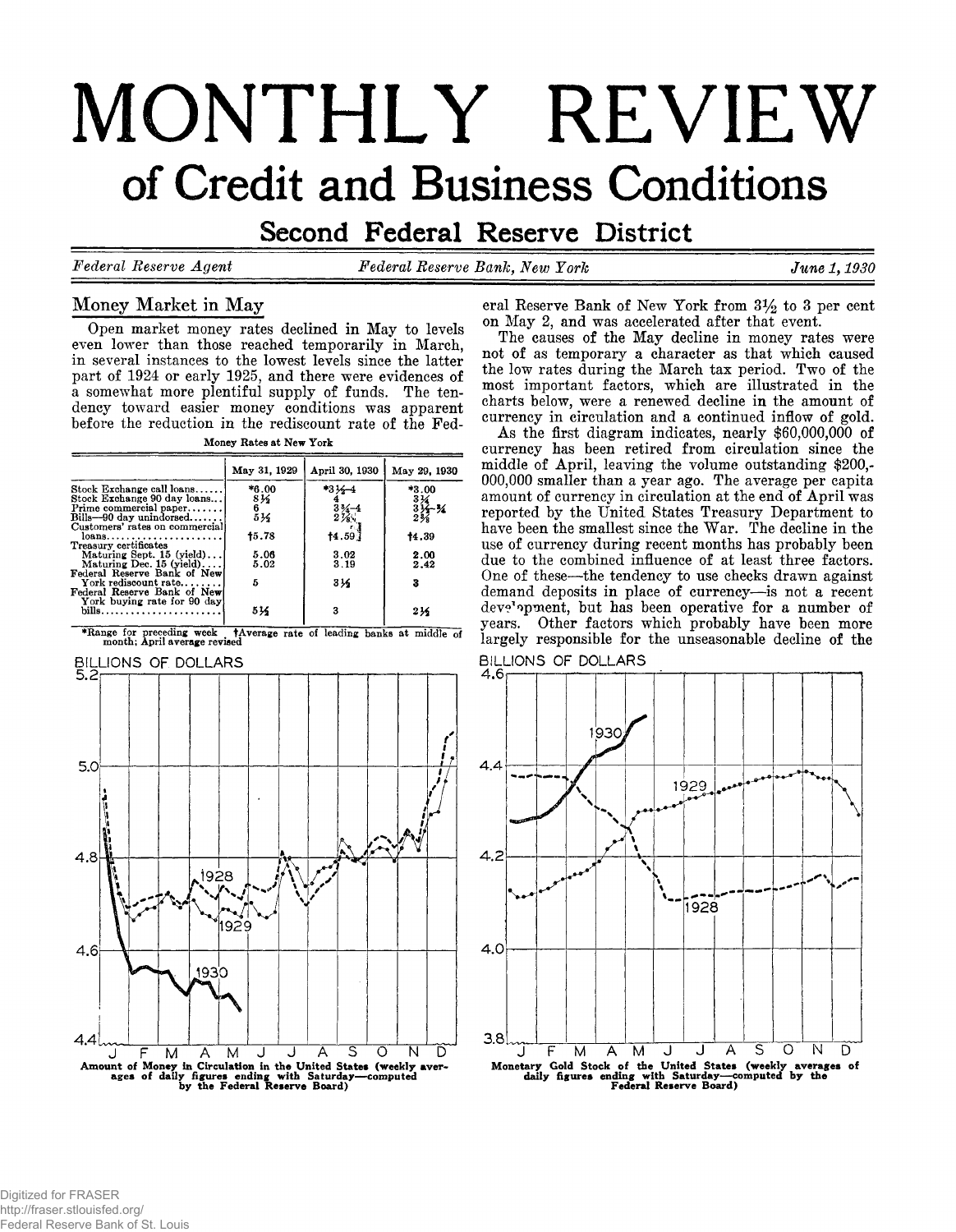# **MONTHLY REVIEW** of Credit and Business Conditions

Second Federal Reserve District

*Federal Reserve Agent Federal Reserve Bank, New York*

June 1, 1930

# **Money Market in May**

**Open market money rates declined in May to levels even lower than those reached temporarily in March, in several instances to the lowest levels since the latter part of 1924 or early 1925, and there were evidences of a somewhat more plentiful supply of funds. The tendency toward easier money conditions was apparent before the reduction in the rediscount rate of the Fed-**

| Money Rates at New York |  |  |
|-------------------------|--|--|
|                         |  |  |

|                                                                                                               | May 31, 1929              | April 30, 1930                         | May 29, 1930                                               |
|---------------------------------------------------------------------------------------------------------------|---------------------------|----------------------------------------|------------------------------------------------------------|
| Stock Exchange call loans<br>Stock Exchange 90 day loans<br>Prime commercial paper<br>Bills-90 day unindorsed | *6.00<br>81⁄2<br>6<br>514 | $*3!6 - 4$<br>$\frac{3}{2}\frac{3}{2}$ | *3.00<br>$\frac{33}{3}$<br>$\frac{33}{3}$<br>$\frac{3}{8}$ |
| Customers' rates on commercial<br>loans<br>Treasury certificates                                              | 15.78                     | 14.59                                  | 14.39                                                      |
| Maturing Sept. $15$ (yield)<br>Maturing Dec. $15$ (yield)<br>Federal Reserve Bank of New                      | 5.06<br>5.02              | 3.02<br>3.19                           | 2.00<br>2.42                                               |
| York rediscount rate<br>Federal Reserve Bank of New                                                           | 5                         | 31⁄2                                   | 3                                                          |
| York buying rate for 90 day                                                                                   | 534                       | 3                                      | 216                                                        |

\*Range for preceding week **HAVerage rate of leading banks at middle of** month; April average revised<br>BILLIONS OF DOLLARS<br>5.2



eral Reserve Bank of New York from  $3\frac{1}{2}$  to 3 per cent **on May 2, and was accelerated after that event.**

**The causes of the May decline in money rates were not of as temporary a character as that which caused the low rates during the March tax period. Two of the most important factors, which are illustrated in the charts below, were a renewed decline in the amount of currency in circulation and a continued inflow of gold.**

**As the first diagram indicates, nearly \$60,000,000 of currency has been retired from circulation since the middle of April, leaving the volume outstanding \$200,- 000,000 smaller than a year ago. The average per capita amount of currency in circulation at the end of April was reported by the United States Treasury Department to** have been the smallest since the War. The decline in the **use of currency during recent months has probably been due to the combined influence of at least three factors. One of these— the tendency to use checks drawn against demand deposits in place of currency— is not a recent dev^opment, but has been operative for a number of years. Other factors which probably have been more largely responsible for the unseasonable decline of the**



Digitized for FRASER http://fraser.stlouisfed.org/ Federal Reserve Bank of St. Louis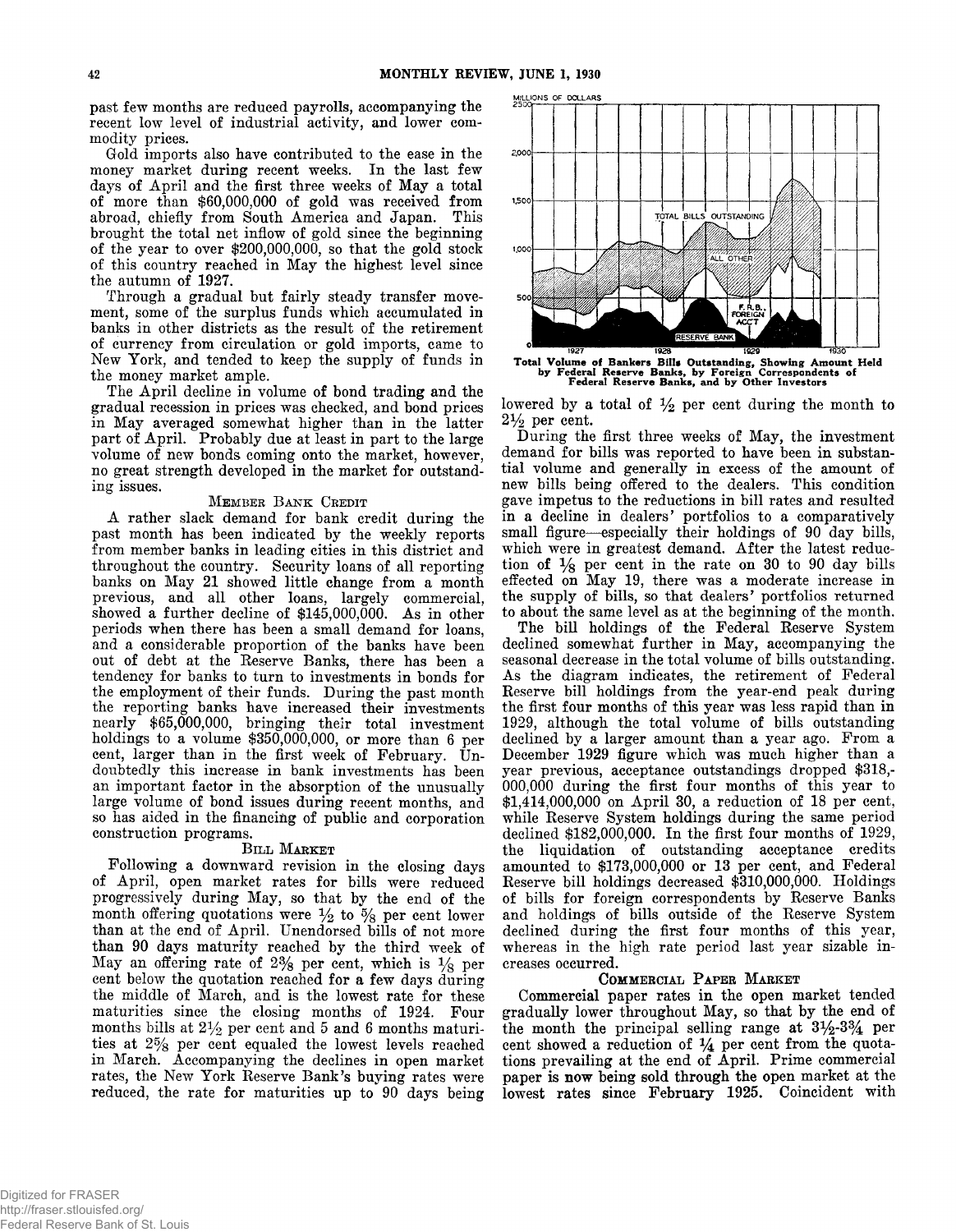**past few months are reduced payrolls, accompanying the recent low level of industrial activity, and lower commodity prices.**

**Gold imports also have contributed to the ease in the money market during recent weeks. In the last few days of April and the first three weeks of May a total of more than \$60,000,000 of gold was received from abroad, chiefly from South America and Japan. This brought the total net inflow of gold since the beginning of the year to over \$200,000,000, so that the gold stock of this country reached in May the highest level since the autumn of 1927.**

**Through a gradual but fairly steady transfer movement, some of the surplus funds which accumulated in banks in other districts as the result of the retirement of currency from circulation or gold imports, came to New York, and tended to keep the supply of funds in the money market ample.**

**The April decline in volume of bond trading and the gradual recession in prices was checked, and bond prices in May averaged somewhat higher than in the latter part of April. Probably due at least in part to the large volume of new bonds coming onto the market, however, no great strength developed in the market for outstanding issues.**

#### MEMBER BANK CREDIT

**A rather slack demand for bank credit during the past month has been indicated by the weekly reports from member banks in leading cities in this district and throughout the country. Security loans of all reporting banks on May 21 showed little change from a month previous, and all other loans, largely commercial,** showed a further decline of \$145,000,000. As in other **periods when there has been a small demand for loans, and a considerable proportion of the banks have been out of debt at the Reserve Banks, there has been a tendency for banks to turn to investments in bonds for the employment of their funds. During the past month the reporting banks have increased their investments nearly \$65,000,000, bringing their total investment holdings to a volume \$350,000,000, or more than 6 per cent, larger than in the first week of February. Undoubtedly this increase in bank investments has been an important factor in the absorption of the unusually large volume of bond issues during recent months, and so has aided in the financing of public and corporation construction programs.**

#### BILL MARKET

**Following a downward revision in the closing days of April, open market rates for bills were reduced progressively during May, so that by the end of the** month offering quotations were  $\frac{1}{2}$  to  $\frac{5}{8}$  per cent lower **than at the end of April. Unendorsed bills of not more than 90 days maturity reached by the third week of** May an offering rate of  $2\%$  per cent, which is  $\frac{1}{8}$  per **cent below the quotation reached for a few days during the middle of March, and is the lowest rate for these maturities since the closing months of 1924. Four** months bills at  $2\frac{1}{2}$  per cent and 5 and 6 months maturi**ties at 2 % per cent equaled the lowest levels reached in March. Accompanying the declines in open market rates, the New York Reserve Bank's buying rates were reduced, the rate for maturities up to 90 days being**



1927 1928 1928 1929 1930<br> **Total Volume of Bankers Bills Outstanding, Showing Amount Held**<br>
by Federal Reserve Banks, and by Other Investors<br>
Federal Reserve Banks, and by Other Investors

lowered by a total of  $\frac{1}{2}$  per cent during the month to **2***Yz* **per cent.**

**During the first three weeks of May, the investment demand for bills was reported to have been in substantial volume and generally in excess of the amount of new bills being offered to the dealers. This condition gave impetus to the reductions in bill rates and resulted in a decline in dealers' portfolios to a comparatively small figure— especially their holdings of 90 day bills, which were in greatest demand. After the latest reduction of** *Yg* **per cent in the rate on 30 to 90 day bills effected on May 19, there was a moderate increase in the supply of bills, so that dealers' portfolios returned to about the same level as at the beginning of the month.**

**The bill holdings of the Federal Reserve System declined somewhat further in May, accompanying the seasonal decrease in the total volume of bills outstanding. As the diagram indicates, the retirement of Federal Reserve bill holdings from the year-end peak during the first four months of this year was less rapid than in 1929, although the total volume of bills outstanding declined by a larger amount than a year ago. From a December 1929 figure which was much higher than a year previous, acceptance outstandings dropped \$318,- 000,000 during the first four months of this year to \$1,414,000,000 on April 30, a reduction of 18 per cent, while Reserve System holdings during the same period declined \$182,000,000. In the first four months of 1929, the liquidation of outstanding acceptance credits amounted to \$173,000,000 or 13 per cent, and Federal Reserve bill holdings decreased \$310,000,000. Holdings of bills for foreign correspondents by Reserve Banks and holdings of bills outside of the Reserve System declined during the first four months of this year, whereas in the high rate period last year sizable increases occurred.**

#### COMMERCIAL PAPER MARKET

**Commercial paper rates in the open market tended gradually lower throughout May, so that by the end of the month the principal selling range at 3^2-3% per** cent showed a reduction of  $\frac{1}{4}$  per cent from the quota**tions prevailing at the end of April. Prime commercial paper is now being sold through the open market at the lowest rates since February 1925. Coincident with**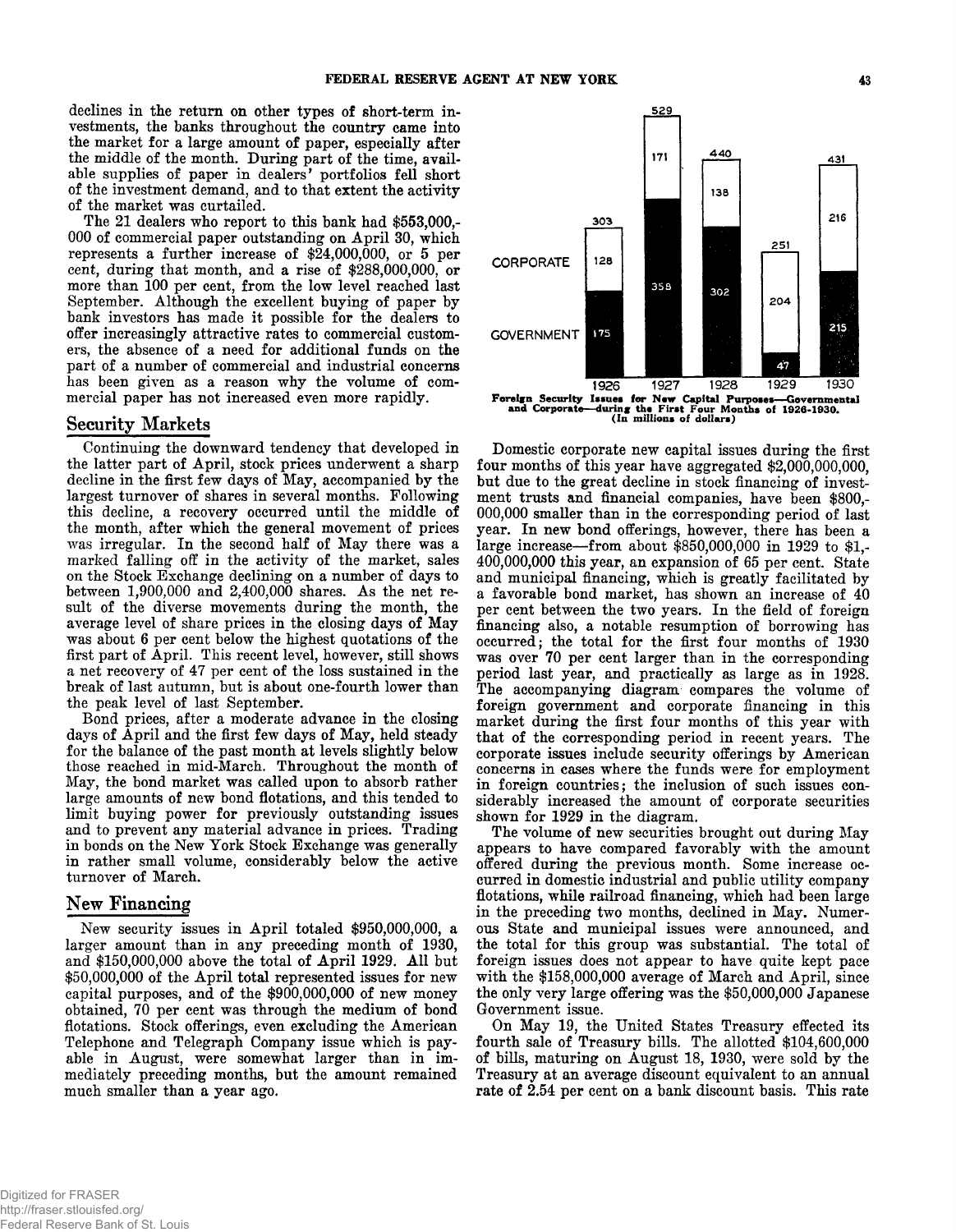**declines in the return on other types of short-term investments, the banks throughout the country came into the market for a large amount of paper, especially after the middle of the month. During part of the time, available supplies of paper in dealers' portfolios fell short of the investment demand, and to that extent the activity of the market was curtailed.**

**The 21 dealers who report to this bank had \$553,000,- 000 of commercial paper outstanding on April 30, which represents a further increase of \$24,000,000, or 5 per cent, during that month, and a rise of \$288,000,000, or more than 100 per cent, from the low level reached last September. Although the excellent buying of paper by bank investors has made it possible for the dealers to offer increasingly attractive rates to commercial customers, the absence of a need for additional funds on the part of a number of commercial and industrial concerns has been given as a reason why the volume of commercial paper has not increased even more rapidly.**

### **Security Markets**

**Continuing the downward tendency that developed in the latter part of April, stock prices underwent a sharp decline in the first few days of May, accompanied by the largest turnover of shares in several months. Following this decline, a recovery occurred until the middle of the month, after which the general movement of prices was irregular. In the second half of May there was a marked falling off in the activity of the market, sales on the Stock Exchange declining on a number of days to between 1,900,000 and 2,400,000 shares. As the net result of the diverse movements during the month, the average level of share prices in the closing days of May was about 6 per cent below the highest quotations of the first part of April. This recent level, however, still shows a net recovery of 47 per cent of the loss sustained in the break of last autumn, but is about one-fourth lower than the peak level of last September.**

**Bond prices, after a moderate advance in the closing days of April and the first few days of May, held steady for the balance of the past month at levels slightly below those reached in mid-March. Throughout the month of May, the bond market was called upon to absorb rather large amounts of new bond flotations, and this tended to limit buying power for previously outstanding issues and to prevent any material advance in prices. Trading in bonds on the New York Stock Exchange was generally in rather small volume, considerably below the active turnover of March.**

## **New Financing**

**New security issues in April totaled \$950,000,000, a larger amount than in any preceding month of 1930,** and \$150,000,000 above the total of April 1929. All but **\$50,000,000 of the April total represented issues for new capital purposes, and of the \$900,000,000 of new money obtained, 70 per cent was through the medium of bond flotations. Stock offerings, even excluding the American Telephone and Telegraph Company issue which is payable in August, were somewhat larger than in immediately preceding months, but the amount remained much smaller than a year ago.**



Foreign Security Issues for New Capital Purposes— Governmental and Corporate—during the First Four Months of 1926-1930. (In millions of dollars)

**Domestic corporate new capital issues during the first four months of this year have aggregated \$2,000,000,000, but due to the great decline in stock financing of investment trusts and financial companies, have been \$800,- 000,000 smaller than in the corresponding period of last year. In new bond offerings, however, there has been a large increase— from about \$850,000,000 in 1929 to \$1,- 400,000,000 this year, an expansion of 65 per cent. State and municipal financing, which is greatly facilitated by a favorable bond market, has shown an increase of 40 per cent between the two years. In the field of foreign financing also, a notable resumption of borrowing has occurred; the total for the first four months of 1930 was over 70 per cent larger than in the corresponding period last year, and practically as large as in 1928. The accompanying diagram compares the volume of foreign government and corporate financing in this market during the first four months of this year with that of the corresponding period in recent years. The corporate issues include security offerings by American concerns in cases where the funds were for employment in foreign countries; the inclusion of such issues considerably increased the amount of corporate securities shown for 1929 in the diagram.**

**The volume of new securities brought out during May appears to have compared favorably with the amount offered during the previous month. Some increase occurred in domestic industrial and public utility company flotations, while railroad financing, which had been large in the preceding two months, declined in May. Numerous State and municipal issues were announced, and the total for this group was substantial. The total of foreign issues does not appear to have quite kept pace with the \$158,000,000 average of March and April, since the only very large offering was the \$50,000,000 Japanese Government issue.**

**On May 19, the United States Treasury effected its fourth sale of Treasury bills. The allotted \$104,600,000 of bills, maturing on August 18, 1930, were sold by the Treasury at an average discount equivalent to an annual rate of 2.54 per cent on a bank discount basis. This rate**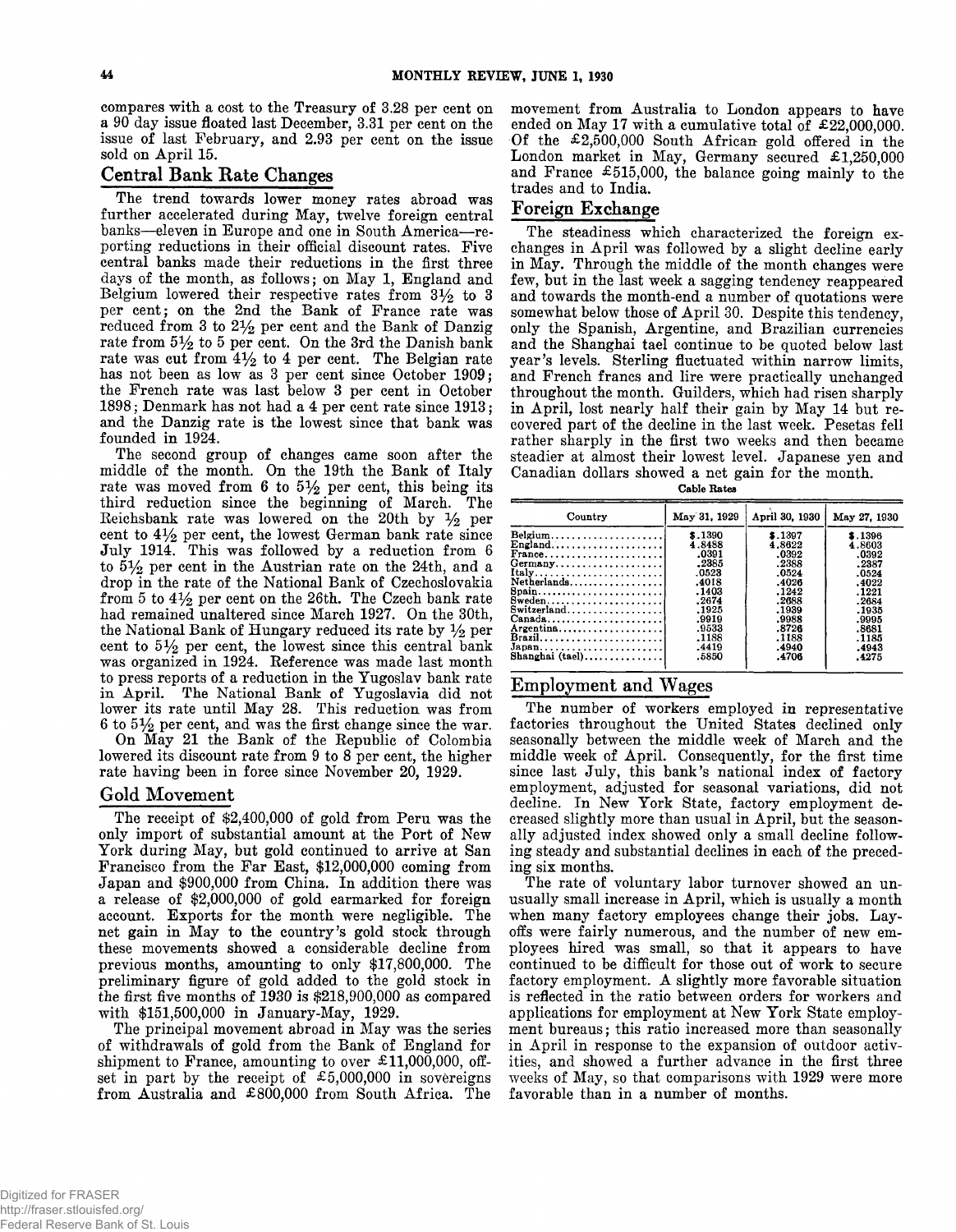**compares with a cost to the Treasury of 3.28 per cent on a 90 day issue floated last December, 3.31 per cent on the issue of last February, and 2.93 per cent on the issue sold on April 15.**

# **Central Bank Rate Changes**

**The trend towards lower money rates abroad was further accelerated during May, twelve foreign central banks— eleven in Europe and one in South America— reporting reductions in their official discount rates. Five central banks made their reductions in the first three days of the month, as follows; on May 1, England and** Belgium lowered their respective rates from  $3\frac{1}{2}$  to 3 **per cent; on the 2nd the Bank of France rate was reduced from 3 to 2***y2* **per cent and the Bank of Danzig rate from** *5y2* **to 5 per cent. On the 3rd the Danish bank rate was cut from** *&y2* **to 4 per cent. The Belgian rate has not been as low as 3 per cent since October 1909; the French rate was last below 3 per cent in October 1898; Denmark has not had a 4 per cent rate since 1913; and the Danzig rate is the lowest since that bank was founded in 1924.**

**The second group of changes came soon after the middle of the month. On the 19th the Bank of Italy** rate was moved from 6 to  $5\frac{1}{2}$  per cent, this being its **third reduction since the beginning of March. The Reichsbank rate was lowered on the 20th by** *y2* **per cent to 4***y2* **per cent, the lowest German bank rate since July 1914. This was followed by a reduction from 6 to 5***y2* **per cent in the Austrian rate on the 24th, and a drop in the rate of the National Bank of Czechoslovakia from 5 to 4** *y2* **per cent on the 26th. The Czech bank rate had remained unaltered since March 1927. On the 30th,** the National Bank of Hungary reduced its rate by  $\frac{1}{2}$  per **cent to** *by2* **per cent, the lowest since this central bank was organized in 1924. Reference was made last month to press reports of a reduction in the Yugoslav bank rate in April. The National Bank of Yugoslavia did not lower its rate until May 28. This reduction was from 6 to** *§y2* **per cent, and was the first change since the war.**

**On May 21 the Bank of the Republic of Colombia lowered its discount rate from 9 to 8 per cent, the higher rate having been in force since November 20, 1929.**

# **Gold Movement**

**The receipt of \$2,400,000 of gold from Peru was the only import of substantial amount at the Port of New York during May, but gold continued to arrive at San Francisco from the Far East, \$12,000,000 coming from Japan and \$900,000 from China. In addition there was a release of \$2,000,000 of gold earmarked for foreign account. Exports for the month were negligible. The net gain in May to the country's gold stock through these movements showed a considerable decline from previous months, amounting to only \$17,800,000. The preliminary figure of gold added to the gold stock in the first five months of 1930** *is* **\$218,900,000 as compared with \$151,500,000 in January-May, 1929.**

**The principal movement abroad in May was the series of withdrawals of gold from the Bank of England for shipment to France, amounting to over £11,000,000, offset in part by the receipt of £5,000,000 in sovereigns from Australia and £800,000 from South Africa. The**

**movement from Australia to London appears to have ended on May 17 with a cumulative total of £22,000,000. Of the £2,500,000 South African gold offered in the London market in May, Germany secured £1,250,000 and France £515,000, the balance going mainly to the trades and to India.**

# **Foreign Exchange**

**The steadiness which characterized the foreign exchanges in April was followed by a slight decline early in May. Through the middle of the month changes were few, but in the last week a sagging tendency reappeared and towards the month-end a number of quotations were somewhat below those of April 30. Despite this tendency, only the Spanish, Argentine, and Brazilian currencies and the Shanghai tael continue to be quoted below last year's levels. Sterling fluctuated within narrow limits, and French francs and lire were practically unchanged throughout the month. Guilders, which had risen sharply in April, lost nearly half their gain by May 14 but recovered part of the decline in the last week. Pesetas fell rather sharply in the first two weeks and then became steadier at almost their lowest level. Japanese yen and Canadian dollars showed a net gain for the month.**

**Cable Hates**

| Country                                            | May 31, 1929 | April 30, 1930 | May 27, 1930 |
|----------------------------------------------------|--------------|----------------|--------------|
| Belgium                                            | \$.1390      | \$.1397        | \$.1396      |
| $English$                                          | 4.8488       | 4.8622         | 4.8603       |
| $France \ldots \ldots \ldots \ldots \ldots \ldots$ | .0391        | .0392          | .0392        |
|                                                    | .2385        | .2388          | .2387        |
| Italy                                              | .0523        | .0524          | .0524        |
| Netherlands                                        | .4018        | .4026          | .4022        |
| $S$ pain                                           | .1403        | .1242          | .1221        |
| $Sweden$                                           | .2674        | .2688          | .2684        |
| Switzerland                                        | .1925        | .1939          | .1935        |
|                                                    | .9919        | .9988          | .9995        |
| Argentina                                          | .9533        | .8726          | .8681        |
| Brazil                                             | .1188        | .1188          | .1185        |
| $Japan \ldots \ldots \ldots \ldots \ldots$         | .4419        | .4940          | .4943        |
| Shanghai (tael)                                    | .5850        | .4706          | .4275        |

# **Employment and Wages**

**The number of workers employed in representative factories throughout the United States declined only seasonally between the middle week of March and the middle week of April. Consequently, for the first time since last July, this bank's national index of factory employment, adjusted for seasonal variations, did not decline. In New York State, factory employment decreased slightly more than usual in April, but the seasonally adjusted index showed only a small decline following steady and substantial declines in each of the preceding six months.**

**The rate of voluntary labor turnover showed an unusually small increase in April, which is usually a month when many factory employees change their jobs. Layoffs were fairly numerous, and the number of new employees hired was small, so that it appears to have continued to be difficult for those out of work to secure factory employment. A slightly more favorable situation is reflected in the ratio between orders for workers and applications for employment at New York State employment bureaus; this ratio increased more than seasonally in April in response to the expansion of outdoor activities, and showed a further advance in the first three weeks of May, so that comparisons with 1929 were more favorable than in a number of months.**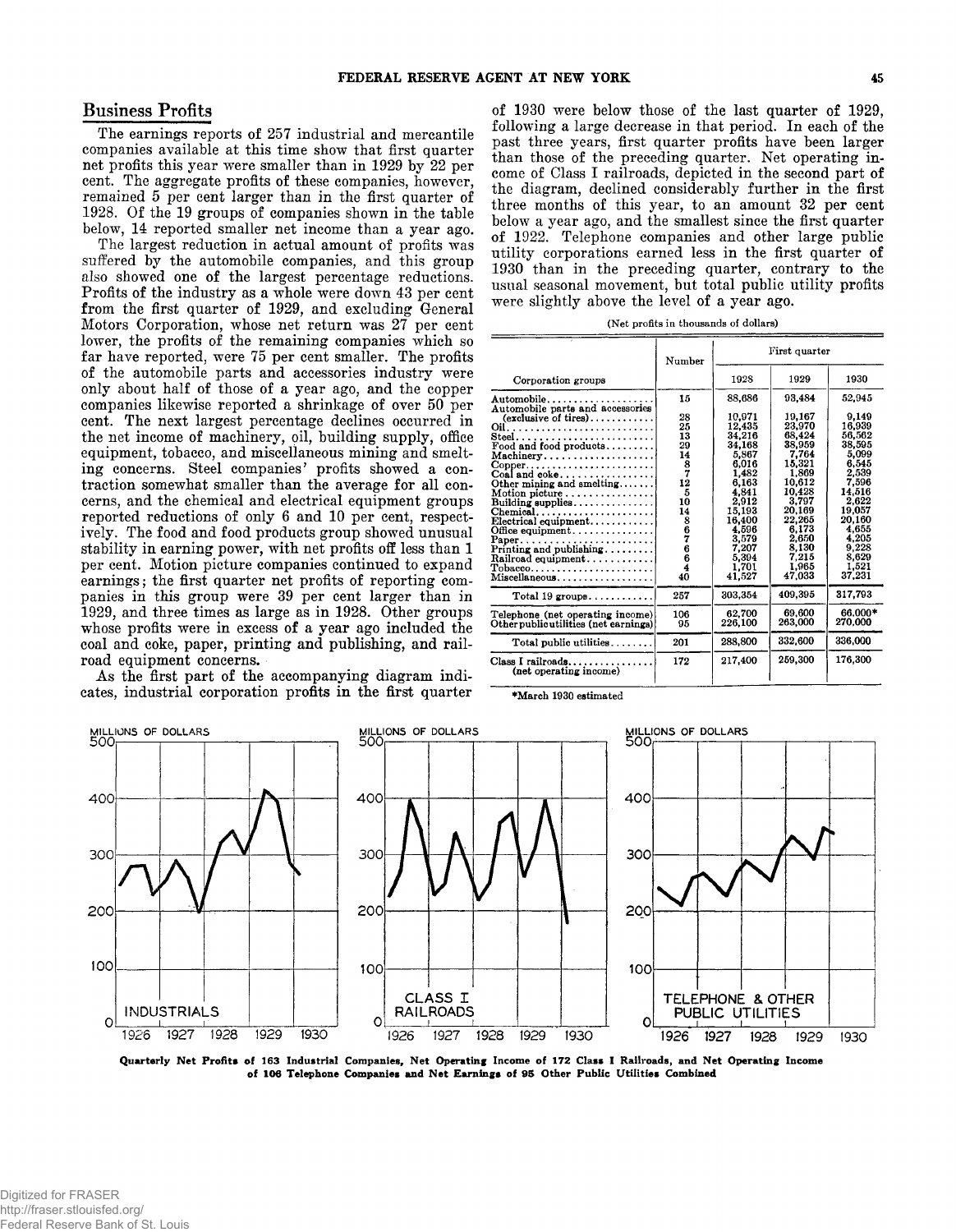**The earnings reports of 257 industrial and mercantile companies available at this time show that first quarter net profits this year were smaller than in 1929 by 22 per cent. The aggregate profits of these companies, however, remained 5 per cent larger than in the first quarter of 1928. Of the 19 groups of companies shown in the table below, 14 reported smaller net income than a year ago.**

**The largest reduction in actual amount of profits was suffered by the automobile companies, and this group also showed one of the largest percentage reductions. Profits of the industry as a whole were down 43 per cent from the first quarter of 1929, and excluding General Motors Corporation, whose net return was 27 per cent lower, the profits of the remaining companies which so far have reported, were 75 per cent smaller. The profits of the automobile parts and accessories industry were only about half of those of a year ago, and the copper companies likewise reported a shrinkage of over 50 per cent. The next largest percentage declines occurred in the net income of machinery, oil, building supply, office equipment, tobacco, and miscellaneous mining and smelting concerns. Steel companies' profits showed a contraction somewhat smaller than the average for all concerns, and the chemical and electrical equipment groups reported reductions of only 6 and 10 per cent, respectively. The food and food products group showed unusual stability in earning power, with net profits off less than 1 per cent. Motion picture companies continued to expand earnings; the first quarter net profits of reporting companies in this group were 39 per cent larger than in 1929, and three times as large as in 1928. Other groups whose profits were in excess of a year ago included the coal and coke, paper, printing and publishing, and railroad equipment concerns.**

**As the first part of the accompanying diagram indicates, industrial corporation profits in the first quarter**

Business Profits **of 1930 were below those of the last quarter of 1929, following a large decrease in that period. In each of the past three years, first quarter profits have been larger than those of the preceding quarter. Net operating income of Class I railroads, depicted in the second part of the diagram, declined considerably further in the first three months of this year, to an amount 32 per cent below a year ago, and the smallest since the first quarter of 1922. Telephone companies and other large public utility corporations earned less in the first quarter of 1930 than in the preceding quarter, contrary to the usual seasonal movement, but total public utility profits were slightly above the level of a year ago.**

| (Net profits in thousands of dollars) |  |  |  |
|---------------------------------------|--|--|--|
|---------------------------------------|--|--|--|

|                                                                                                                                                                                                                                                                                                                                                                                              | Number                                                                                                                                                   |                                                                                                                                                                                 | First quarter                                                                                                                                                                      |                                                                                                                                                                                 |
|----------------------------------------------------------------------------------------------------------------------------------------------------------------------------------------------------------------------------------------------------------------------------------------------------------------------------------------------------------------------------------------------|----------------------------------------------------------------------------------------------------------------------------------------------------------|---------------------------------------------------------------------------------------------------------------------------------------------------------------------------------|------------------------------------------------------------------------------------------------------------------------------------------------------------------------------------|---------------------------------------------------------------------------------------------------------------------------------------------------------------------------------|
| Corporation groups                                                                                                                                                                                                                                                                                                                                                                           |                                                                                                                                                          | 1928                                                                                                                                                                            | 1929                                                                                                                                                                               | 1930                                                                                                                                                                            |
| Automobile<br>Automobile parts and accessories<br>$(exclusive of tires) \ldots \ldots \ldots$<br>Steel<br>Food and food products<br>Machinery<br>$Copper$<br>$Coal$ and $coke$<br>Other mining and smelling<br>Motion picture<br>Building supplies<br>Chemical<br>$Electrical\ equipment$<br>Office equipment<br>$Prifting$ and publishing<br>Railroad equipment<br>Tobacco<br>Miscellaneous | 15<br>28<br>25<br>13<br>29<br>14<br>8<br>7<br>12<br>5<br>10<br>14<br>8<br>6<br>$\begin{array}{c} 7 \ 6 \ 6 \end{array}$<br>$\overline{\mathbf{4}}$<br>40 | 88,686<br>10.971<br>12,435<br>34,216<br>34.168<br>5.867<br>6.016<br>1.482<br>6.163<br>4.841<br>2.912<br>15,193<br>16,400<br>4.596<br>3,579<br>7.207<br>5,394<br>1.701<br>41.527 | 93,484<br>19.167<br>23.970<br>68,424<br>38.959<br>7,764<br>15,321<br>1.869<br>10.612<br>10.428<br>3.797<br>20.169<br>22.265<br>6.173<br>2.650<br>8.130<br>7.215<br>1.965<br>47.033 | 52,945<br>9.149<br>16.939<br>56.562<br>38.595<br>5,099<br>6,545<br>2,539<br>7.596<br>14.516<br>2,622<br>19.057<br>20.160<br>4.655<br>4.205<br>9,228<br>8.629<br>1.521<br>37.231 |
| Total $19$ groups                                                                                                                                                                                                                                                                                                                                                                            | 257                                                                                                                                                      | 303.354                                                                                                                                                                         | 409.395                                                                                                                                                                            | 317.793                                                                                                                                                                         |
| Telephone (net operating income)<br>Other public utilities (net earnings)                                                                                                                                                                                                                                                                                                                    | 106<br>95                                                                                                                                                | 62.700<br>226,100                                                                                                                                                               | 69.600<br>263.000                                                                                                                                                                  | 66.000*<br>270.000                                                                                                                                                              |
| Total public utilities                                                                                                                                                                                                                                                                                                                                                                       | 201                                                                                                                                                      | 288,800                                                                                                                                                                         | 332.600                                                                                                                                                                            | 336.000                                                                                                                                                                         |
| $Class I$ railroads<br>(net operating income)                                                                                                                                                                                                                                                                                                                                                | 172                                                                                                                                                      | 217.400                                                                                                                                                                         | 259,300                                                                                                                                                                            | 176,300                                                                                                                                                                         |

♦March 1930 estimated



**Quarterly Net Profits of 163 Industrial Companies, Net Operating Income of 172 Class I Railroads, and Net Operating Income of 106 Telephone Companies and Net Earnings of 95 Other Public Utilities Combined**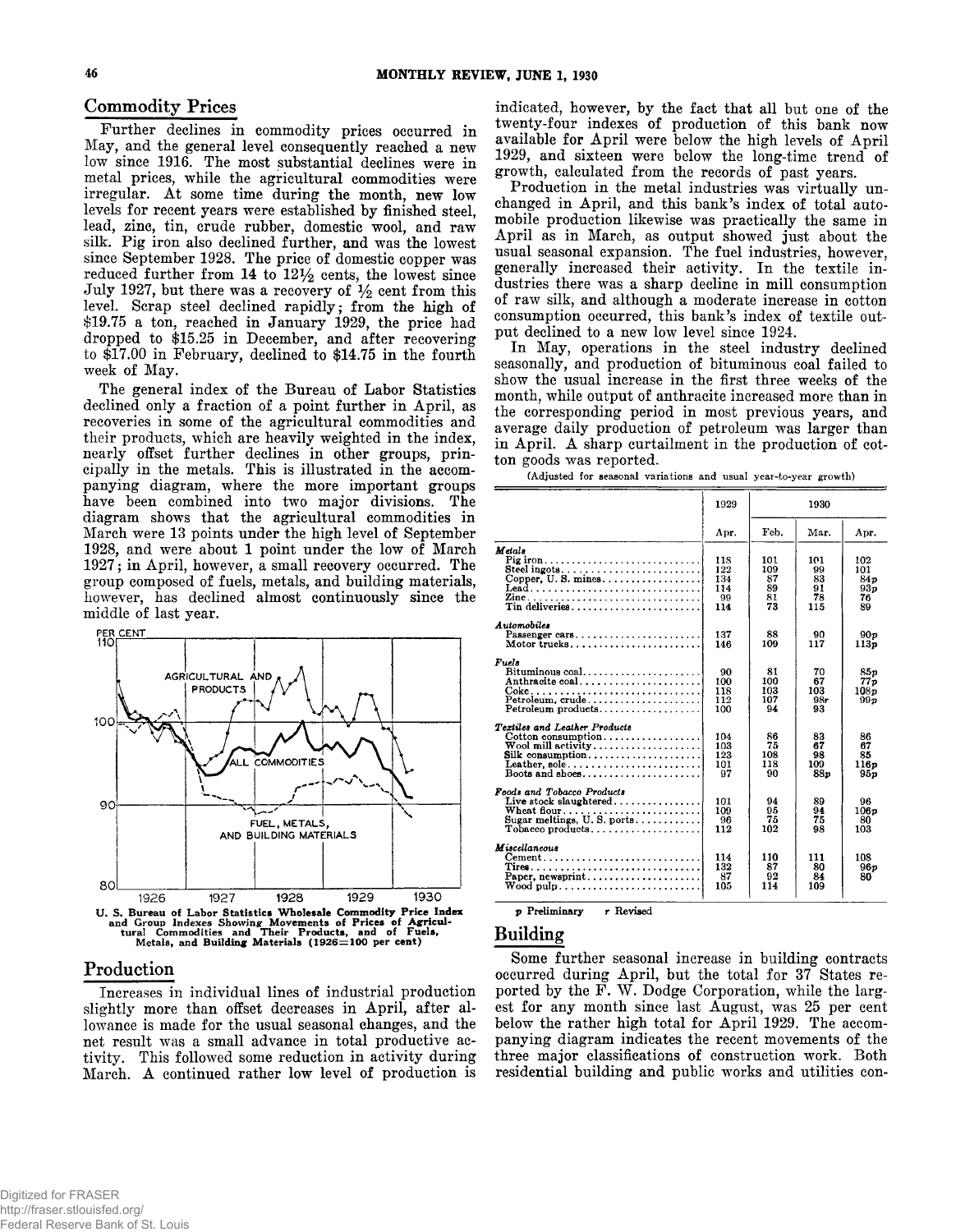#### Commodity Prices

**Further declines in commodity prices occurred in May, and the general level consequently reached a new low since 1916. The most substantial declines were in metal prices, while the agricultural commodities were** irregular. At some time during the month, new low **levels for recent years were established by finished steel, lead, zinc, tin, crude rubber, domestic wool, and raw silk. Pig iron also declined further, and was the lowest since September 1928. The price of domestic copper was** reduced further from 14 to  $12\frac{1}{2}$  cents, the lowest since July 1927, but there was a recovery of  $\frac{1}{2}$  cent from this **level. Scrap steel declined rapidly; from the high of \$19.75 a ton, reached in January 1929, the price had dropped to \$15.25 in December, and after recovering to \$17.00 in February, declined to \$14.75 in the fourth week of May.**

**The general index of the Bureau of Labor Statistics declined only a fraction of a point further in April, as recoveries in some of the agricultural commodities and their products, which are heavily weighted in the index, nearly offset further declines in other groups, principally in the metals. This is illustrated in the accompanying diagram, where the more important groups have been combined into two major divisions. The diagram shows that the agricultural commodities in March were 13 points under the high level of September 1928, and were about 1 point under the low of March 1927; in April, however, a small recovery occurred. The group composed of fuels, metals, and building materials, however, has declined almost continuously since the middle of last year.**



#### **Production**

**Increases in individual lines of industrial production slightly more than offset decreases in April, after allowance is made for the usual seasonal changes, and the net result was a small advance in total productive activity. This followed some reduction in activity during March. A continued rather low level of production is** **indicated, however, by the fact that all but one of the twenty-four indexes of production of this bank now available for April were below the high levels of April 1929, and sixteen were below the long-time trend of growth, calculated from the records of past years.**

**Production in the metal industries was virtually unchanged in April, and this bank's index of total automobile production likewise was practically the same in April as in March, as output showed just about the usual seasonal expansion. The fuel industries, however, generally increased their activity. In the textile industries there was a sharp decline in mill consumption of raw silk, and although a moderate increase in cotton consumption occurred, this bank's index of textile output declined to a new low level since 1924.**

**In May, operations in the steel industry declined seasonally, and production of bituminous coal failed to show the usual increase in the first three weeks of the month, while output of anthracite increased more than in the corresponding period in most previous years, and average daily production of petroleum was larger than in April. A sharp curtailment in the production of cotton goods was reported.**

|                                                                                                                          | 1929                                  |                                    | 1930                               |                                                              |
|--------------------------------------------------------------------------------------------------------------------------|---------------------------------------|------------------------------------|------------------------------------|--------------------------------------------------------------|
|                                                                                                                          | Apr.                                  | Feb.                               | Mar.                               | Apr.                                                         |
| Metala<br>Pig iron<br>Copper, U.S. mines<br>Lead<br>Tin deliveries                                                       | 118<br>122<br>134<br>114<br>99<br>114 | 101<br>109<br>87<br>89<br>81<br>73 | 101<br>99<br>83<br>91<br>78<br>115 | 102<br>101<br>84 <sub>p</sub><br>93 <sub>p</sub><br>76<br>89 |
| Automobiles<br>Passenger cars<br>Motor trucks                                                                            | 137<br>146                            | 88<br>109                          | 90<br>117                          | 90 v<br>113p                                                 |
| Fuels<br>Bituminous $\cosh \ldots \ldots \ldots \ldots \ldots$<br>Anthracite coal<br>Petroleum, crude                    | 90<br>100<br>118<br>112<br>100        | 81<br>100<br>103<br>107<br>94      | 70<br>67<br>103<br>98r<br>93       | 85 v<br>77p<br>108p<br>99 v                                  |
| Textiles and Leather Products<br>Cotton consumption<br>$\mathbf W$ ool mill activity<br>Leather, sole<br>Boots and shoes | 104<br>103<br>123<br>101<br>97        | 86<br>75<br>108<br>118<br>90       | 83<br>67<br>98<br>109<br>88n       | 86<br>67<br>85<br>116p<br><b>95p</b>                         |
| Foods and Tobacco Products<br>Live stock slaughtered<br>Wheat flour<br>Sugar meltings, $U$ . S. ports                    | 101<br>109<br>96<br>112               | 94<br>95<br>75<br>102              | 89<br>94<br>75<br>98               | 96<br>106p<br>80<br>103                                      |
| Miscellaneous<br>$Cement \dots \dots \dots \dots \dots \dots \dots \dots \dots \dots$                                    | 114<br>132<br>87<br>105               | 110<br>87<br>92<br>114             | 111<br>80<br>84<br>109             | 108<br>96 v<br>80                                            |

(Adjusted for seasonal variations and usual year-to-year growth)

p Preliminary r Revised

# **Building**

**Some further seasonal increase in building contracts occurred during April, but the total for 37 States re**ported by the F. W. Dodge Corporation, while the larg**est for any month since last August, was 25 per cent below the rather high total for April 1929. The accompanying diagram indicates the recent movements of the three major classifications of construction work. Both residential building and public works and utilities con-**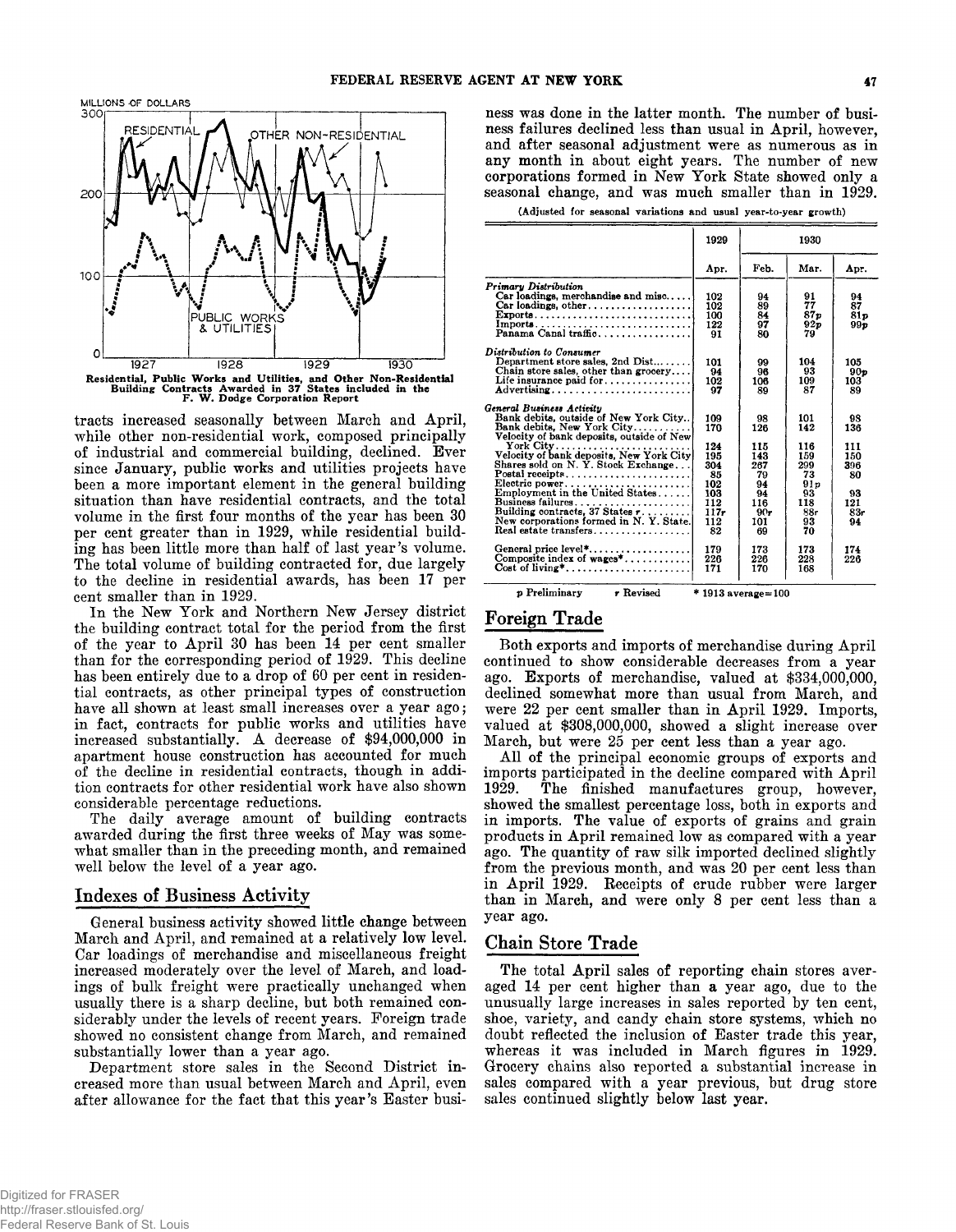



**tracts increased seasonally between March and April, while other non-residential work, composed principally of industrial and commercial building, declined. Ever since January, public works and utilities projects have been a more important element in the general building situation than have residential contracts, and the total volume in the first four months of the year has been 30 per cent greater than in 1929, while residential building has been little more than half of last year 's volume. The total volume of building contracted for, due largely to the decline in residential awards, has been 17 per cent smaller than in 1929.**

**In the New York and Northern New Jersey district the building contract total for the period from the first of the year to April 30 has been 14 per cent smaller than for the corresponding period of 1929. This decline has been entirely due to a drop of 60 per cent in residential contracts, as other principal types of construction have all shown at least small increases over a year ago; in fact, contracts for public works and utilities have increased substantially. A decrease of \$94,000,000 in apartment house construction has accounted for much of the decline in residential contracts, though in addition contracts for other residential work have also shown considerable percentage reductions.**

**The daily average amount of building contracts awarded during the first three weeks of May was somewhat smaller than in the preceding month, and remained well below the level of a year ago.**

#### **Indexes of Business Activity**

**General business activity showed little change between March and April, and remained at a relatively low level. Car loadings of merchandise and miscellaneous freight increased moderately over the level of March, and loadings of bulk freight were practically unchanged when usually there is a sharp decline, but both remained considerably under the levels of recent years. Foreign trade showed no consistent change from March, and remained substantially lower than a year ago.**

**Department store sales in the Second District increased more than usual between March and April, even after allowance for the fact that this year's Easter busi-** **ness was done in the latter month. The number of business failures declined less than usual in April, however, and after seasonal adjustment were as numerous as in any month in about eight years. The number of new corporations formed in New York State showed only a seasonal change, and was much smaller than in 1929.**

|  |  |  |  |  |  |  | (Adjusted for seasonal variations and usual year-to-year growth) |  |
|--|--|--|--|--|--|--|------------------------------------------------------------------|--|
|--|--|--|--|--|--|--|------------------------------------------------------------------|--|

|                                                                                                                                                       | 1929                             |                                  | 1930                                     |                         |
|-------------------------------------------------------------------------------------------------------------------------------------------------------|----------------------------------|----------------------------------|------------------------------------------|-------------------------|
|                                                                                                                                                       | Apr.                             | Feb.                             | Mar.                                     | Apr.                    |
| Primary Distribution<br>$Car$ loadings, merchandise and misc<br>Car loadings, other<br>Exports<br>Panama Canal traffic                                | 102<br>102<br>100<br>122<br>91   | 94<br>89<br>84<br>97<br>80       | 91<br>77<br>87 <sub>p</sub><br>92p<br>79 | 94<br>87<br>81p<br>99p  |
| Distribution to Consumer<br>Department store sales. 2nd $Dist$<br>Chain store sales, other than grocery<br>Life insurance paid for<br>Advertising     | 101<br>94<br>102<br>97           | 99<br>96<br>106<br>89            | 104<br>93<br>109<br>87                   | 105<br>90p<br>103<br>89 |
| General Business Activity<br>Bank debits, outside of New York City<br>Bank debits. New York City<br>Velocity of bank deposits, outside of New         | 109<br>170                       | 98<br>126                        | 101<br>142                               | 98<br>136               |
| Shares sold on N.Y. Stock Exchange                                                                                                                    | 124<br>195<br>304<br>85          | 115<br>143<br>267<br>79          | 116<br>159<br>299<br>73                  | 111<br>150<br>396<br>80 |
| Electric power<br>Employment in the United States<br>Business failures<br>Building contracts, 37 States $r$<br>New corporations formed in N.Y. State. | 102<br>103<br>112<br>117.<br>112 | 94<br>94<br>116<br>$90 -$<br>101 | 91p<br>93<br>118<br>88r<br>93            | 93<br>121<br>83r<br>94  |
| Real estate transfers<br>General price level*<br>Composite index of $wages^*$<br>Cost of living*                                                      | 82<br>179<br>226<br>171          | 69<br>173<br>226<br>170          | 70<br>173<br>228<br>168                  | 174<br>226              |

p Preliminary **r** Revised \* 1913 average=100

## **Foreign Trade**

**Both exports and imports of merchandise during April continued to show considerable decreases from a year ago. Exports of merchandise, valued at \$334,000,000, declined somewhat more than usual from March, and were 22 per cent smaller than in April 1929. Imports, valued at \$308,000,000, showed a slight increase over March, but were 25 per cent less than a year ago.**

**A ll of the principal economic groups of exports and imports participated in the decline compared with April 1929. The finished manufactures group, however, showed the smallest percentage loss, both in exports and in imports. The value of exports of grains and grain products in April remained low as compared with a year ago. The quantity of raw silk imported declined slightly from the previous month, and was 20 per cent less than in April 1929. Receipts of crude rubber were larger than in March, and were only 8 per cent less than a year ago.**

#### **Chain Store Trade**

**The total April sales of reporting chain stores averaged 14 per cent higher than a year ago, due to the unusually large increases in sales reported by ten cent, shoe, variety, and candy chain store systems, which no doubt reflected the inclusion of Easter trade this year, whereas it was included in March figures in 1929. Grocery chains also reported a substantial increase in sales compared with a year previous, but drug store sales continued slightly below last year.**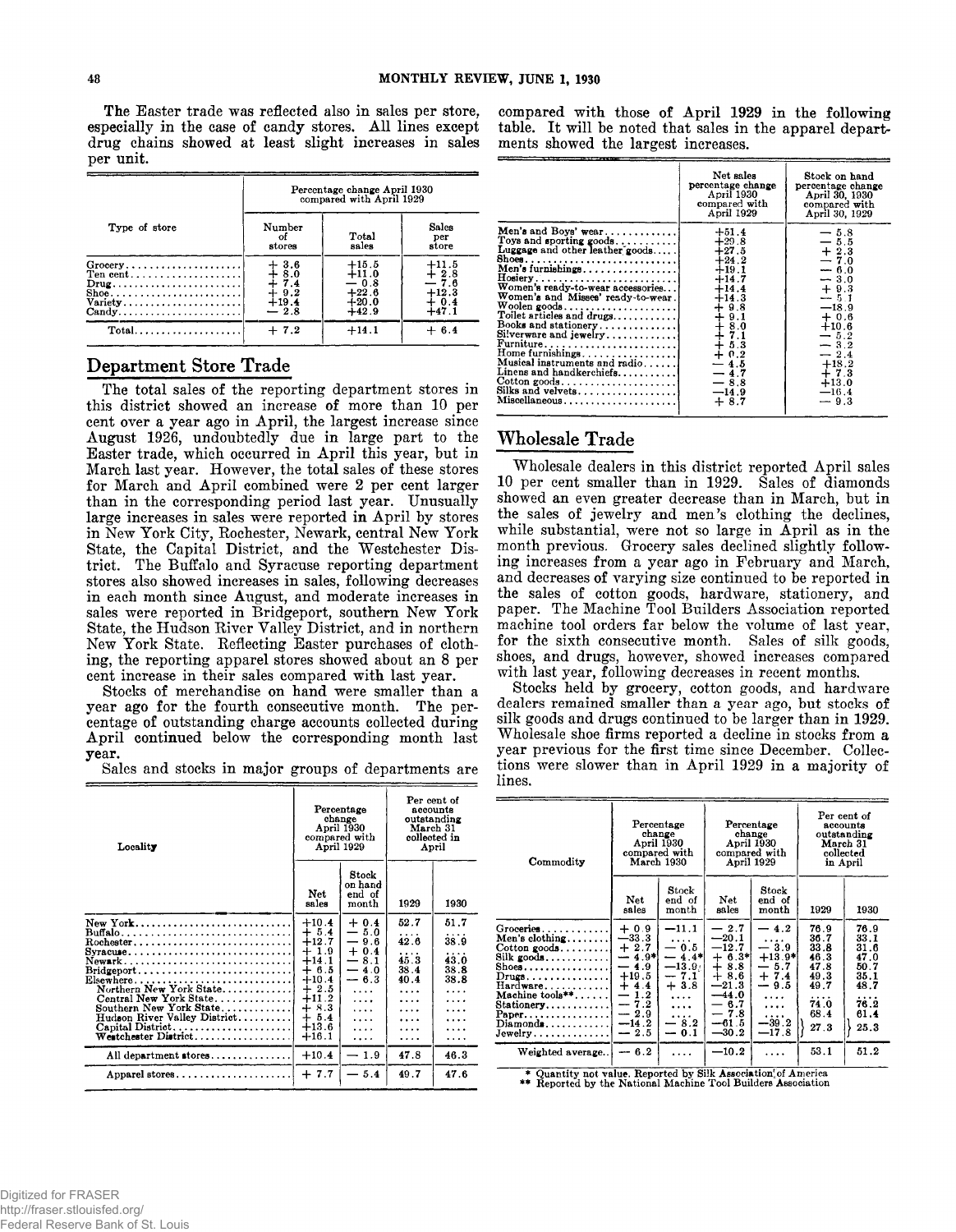**The Easter trade was reflected also in sales per store,** especially in the case of candy stores. All lines except **drug chains showed at least slight increases in sales per unit.**

|                                                                                                                                                          | Percentage change April 1930<br>compared with April 1929  |                                                               |                                                            |  |  |
|----------------------------------------------------------------------------------------------------------------------------------------------------------|-----------------------------------------------------------|---------------------------------------------------------------|------------------------------------------------------------|--|--|
| Type of store                                                                                                                                            | Number<br>оf<br>stores                                    | Total<br>sales                                                | Sales<br>per<br>store                                      |  |  |
| $Grocery$<br>Ten cent<br>$Drug \ldots \ldots \ldots \ldots \ldots \ldots$<br>Shoe<br>Variety<br>$Candy \ldots \ldots \ldots \ldots \ldots \ldots \ldots$ | $+3.6$<br>$+3.0$<br>$+7.4$<br>$+9.2$<br>$+19.4$<br>$-2.8$ | $+15.5$<br>$+11.0$<br>$-0.8$<br>$+22.6$<br>$+20.0$<br>$+42.9$ | $1^{11.5}_{2.8}$<br>$-7.6$<br>$+12.3$<br>$+0.4$<br>$+47.1$ |  |  |
| $Total$                                                                                                                                                  | $+7.2$                                                    | $+14.1$                                                       | $+6.4$                                                     |  |  |

# **Department Store Trade**

**The total sales of the reporting department stores in this district showed an increase of more than 10 per cent over a year ago in April, the largest increase since August 1926, undoubtedly due in large part to the Easter trade, which occurred in April this year, but in March last year. However, the total sales of these stores for March and April combined were 2 per cent larger than in the corresponding period last year. Unusually large increases in sales were reported in April by stores in New York City, Rochester, Newark, central New York State, the Capital District, and the Westchester District. The Buffalo and Syracuse reporting department stores also showed increases in sales, following decreases in each month since August, and moderate increases in sales were reported in Bridgeport, southern New York State, the Hudson River Valley District, and in northern New York State. Reflecting Easter purchases of clothing, the reporting apparel stores showed about an 8 per cent increase in their sales compared with last year.**

**Stocks of merchandise on hand were smaller than a year ago for the fourth consecutive month. The percentage of outstanding charge accounts collected during April continued below the corresponding month last year.**

**Sales and stocks in major groups of departments are**

| Locality                                                                                                                                                                                                                                                                                                      | Percentage<br>change<br>April 1930<br>compared with<br>April 1929                                                                       | March 31                                                                                                                            |                                                                 | Per cent of<br>accounts<br>outstanding<br>collected in<br>April |
|---------------------------------------------------------------------------------------------------------------------------------------------------------------------------------------------------------------------------------------------------------------------------------------------------------------|-----------------------------------------------------------------------------------------------------------------------------------------|-------------------------------------------------------------------------------------------------------------------------------------|-----------------------------------------------------------------|-----------------------------------------------------------------|
|                                                                                                                                                                                                                                                                                                               | Net<br>sales                                                                                                                            | Stock<br>on hand<br>end of<br>month                                                                                                 | 1929                                                            | 1930                                                            |
| New York<br>Buffalo<br>Rochester<br>Syracuse<br>Newark<br>$\text{Bridgeport.} \dots \dots \dots \dots \dots \dots \dots \dots \dots$<br>Elsewhere<br>Northern New York State<br>Central New York State<br>Southern New York State<br>Hudson River Valley District<br>Capital District<br>Westchester District | $+10.4$<br>$+5.4$<br>$+12.7$<br>$+1.9$<br>$+14.1$<br>$+ 6.5$<br>$+10.4$<br>$+2.5$<br>$+11.2$<br>$+8.3$<br>$+ 5.4$<br>$+13.6$<br>$+16.1$ | $+0.4$<br>$-5.0$<br>9.6<br>—<br>$+$<br>0.4<br>$-8.1$<br>4.0<br>—<br>$-6.3$<br>$\overline{1}$<br>$\cdots$<br>$\cdots$<br>.<br>.<br>. | 52.7<br>42.6<br>.<br>45.3<br>38.4<br>40.4<br>$\cdots$<br>.<br>. | 51.7<br>38.9<br>$\cdots$<br>43.0<br>38.8<br>38.8<br>.           |
| All department stores                                                                                                                                                                                                                                                                                         | $+10.4$                                                                                                                                 | 1.9                                                                                                                                 | 47.8                                                            | 46.3                                                            |
| Apparel stores                                                                                                                                                                                                                                                                                                | $+7.7$                                                                                                                                  | 5.4                                                                                                                                 | 49.7                                                            | 47.6                                                            |

**compared with those of April 1929 in the following table. It will be noted that sales in the apparel departments showed the largest increases.**

|                                                                                                                                                                                                                                                                                                                                                                                                                                                                                                                                                                                        | Net sales<br>percentage change<br>April 1930<br>compared with<br>April 1929                                                                                                                         | Stock on hand<br>percentage change<br>April 30, 1930<br>compared with<br>April 30, 1929                                                                                                         |
|----------------------------------------------------------------------------------------------------------------------------------------------------------------------------------------------------------------------------------------------------------------------------------------------------------------------------------------------------------------------------------------------------------------------------------------------------------------------------------------------------------------------------------------------------------------------------------------|-----------------------------------------------------------------------------------------------------------------------------------------------------------------------------------------------------|-------------------------------------------------------------------------------------------------------------------------------------------------------------------------------------------------|
| Men's and Boys' wear<br>Toys and sporting goods<br>Luggage and other leather goods<br>$Hosiery$<br>Women's ready-to-wear accessories<br>Women's and Misses' ready-to-wear.<br>$\begin{array}{c} \textbf{Woolen goods} \dots \dots \dots \dots \dots \dots \dots \\ \textbf{Toilet articles and drugs} \dots \dots \dots \dots \end{array}$<br>Books and stationery<br>Silverware and jewelry<br>Home furnishings<br>Musical instruments and radio<br>Linens and handkerchiefs<br>$\text{Cotton goods} \dots \dots \dots \dots \dots \dots \dots$<br>Silks and velvets<br>Miscellaneous | $+51.4$<br>$+29.8$<br>$+27.5$<br>$+24.2$<br>$+19.1$<br>$+14.7$<br>$+14.4$<br>$+14.3$<br>$+9.8$<br>$+8.0$<br>$+8.0$<br>$+7.1$<br>$+5.3$<br>$+0.2$<br>$-4.5$<br>$-4.7$<br>$-8.8$<br>$-14.9$<br>$+8.7$ | $-5.8$<br>$-5.5$<br>$+2.3$<br>$-7.0$<br>$-6.0$<br>$-3.0$<br>$+9.3$<br>$-5.1$<br>$-18.9$<br>$+0.6$<br>$+10.6$<br>$-5.2$<br>$-3.2$<br>$-2.4$<br>$+18.2$<br>$+7.3$<br>$+13.0$<br>$-16.4$<br>$-9.3$ |

# **Wholesale Trade**

**Wholesale dealers in this district reported April sales 10 per cent smaller than in 1929. Sales of diamonds showed an even greater decrease than in March, but in the sales of jewelry and men's clothing the declines, while substantial, were not so large in April as in the month previous. Grocery sales declined slightly following increases from a year ago in February and March, and decreases of varying size continued to be reported in the sales of cotton goods, hardware, stationery, and paper. The Machine Tool Builders Association reported machine tool orders far below the volume of last year, for the sixth consecutive month. Sales of silk goods, shoes, and drugs, however, showed increases compared with last year, following decreases in recent months.**

**Stocks held by grocery, cotton goods, and hardware dealers remained smaller than a year ago, but stocks of silk goods and drugs continued to be larger than in 1929. Wholesale shoe firms reported a decline in stocks from a year previous for the first time since December. Collections were slower than in April 1929 in a majority of lines.**

| Commodity                                                                                                                                                                                                                                                                             |                                                                                                                          | Percentage<br>change<br>April 1930<br>compared with<br>March 1930                            | Percentage<br>change<br>April 1930<br>compared with<br>April 1929                                                                   | Per cent of<br>accounts<br>outstanding<br>March 31<br>collected<br>in April                                        |                                                                                   |                                                                                          |
|---------------------------------------------------------------------------------------------------------------------------------------------------------------------------------------------------------------------------------------------------------------------------------------|--------------------------------------------------------------------------------------------------------------------------|----------------------------------------------------------------------------------------------|-------------------------------------------------------------------------------------------------------------------------------------|--------------------------------------------------------------------------------------------------------------------|-----------------------------------------------------------------------------------|------------------------------------------------------------------------------------------|
|                                                                                                                                                                                                                                                                                       | Net<br>sales                                                                                                             | $_{\rm Stock}$<br>end of<br>month                                                            | Net<br>sales                                                                                                                        | Stock<br>end of<br>month                                                                                           | 1929                                                                              | 1930                                                                                     |
| ${\rm Groe}$ eries $\ldots \ldots \ldots \ldots$<br>Men's clothing<br>$\cot$ cotton goods<br>Silk goods<br>$\operatorname{Shoes.}\dots\dots\dots\dots\dots\dots$<br>Drugs.<br>$Hardware \ldots \ldots$<br>Machine tools**.<br>Stationery<br>Paper.<br>$\mathbf{Diam}$ onds<br>Jewelry | $+0.9$<br>$-33.3$<br>$+2.7$<br>$-4.9*$<br>$-4.9$<br>$+19.5$<br>$+4.4$<br>$-1.2$<br>$-7.2$<br>$-2.9$<br>$-14.2$<br>$-2.5$ | $-11.1$<br>$-0.5$<br>$-4.4*$<br>$-13.91$<br>$-7.1$<br>$+3.8$<br>.<br>.<br>.<br>8.2<br>$-0.1$ | $-2.7$<br>$-20.1$<br>$-12.7$<br>$+ 6.3*$<br>$\div$<br>8.8<br>$+8.6$<br>$-21.3$<br>$-44.0$<br>$-6.7$<br>$-7.8$<br>$-61.5$<br>$-30.2$ | $-4.2$<br>$-3.9$<br>$+13.9*$<br>— 5.7<br>$+7.4$<br>9.5<br>$\overline{\phantom{0}}$<br>.<br>.<br>$-39.2$<br>$-17.8$ | 76.9<br>36.7<br>33.8<br>46.3<br>47.8<br>49.3<br>49.7<br>.<br>74.0<br>68.4<br>27.3 | 76.9<br>33.1<br>31.6<br>47.0<br>50.7<br>35.1<br>48.7<br>$\cdots$<br>76.2<br>61.4<br>25.3 |
| Weighted average                                                                                                                                                                                                                                                                      | $-6.2$                                                                                                                   |                                                                                              | $-10.2$                                                                                                                             |                                                                                                                    | 53.1                                                                              | 51.2                                                                                     |

\* Quantity not value. Reported by Silk Association of America<br>\*\* Reported by the National Machine Tool Builders Association